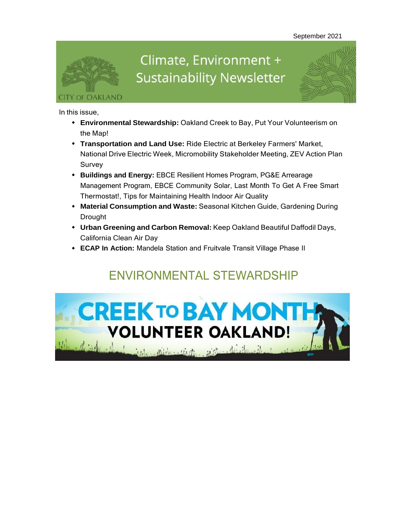

# Climate, Environment + **Sustainability Newsletter**

In this issue,

- **Environmental Stewardship:** Oakland Creek to Bay, Put Your Volunteerism on the Map!
- **Transportation and Land Use:** Ride Electric at Berkeley Farmers' Market, National Drive Electric Week, Micromobility Stakeholder Meeting, ZEV Action Plan Survey
- **Buildings and Energy:** EBCE Resilient Homes Program, PG&E Arrearage Management Program, EBCE Community Solar, Last Month To Get A Free Smart Thermostat!, Tips for Maintaining Health Indoor Air Quality
- **Material Consumption and Waste:** Seasonal Kitchen Guide, Gardening During Drought
- **Urban Greening and Carbon Removal:** Keep Oakland Beautiful Daffodil Days, California Clean Air Day
- **ECAP In Action:** Mandela Station and Fruitvale Transit Village Phase II

# **ENVIRONMENTAL STEWARDSHIP**

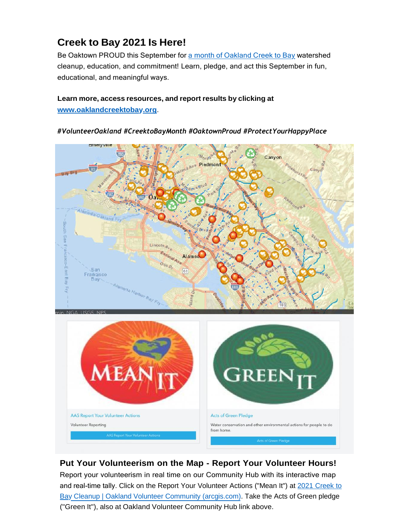## **Creek to Bay 2021 Is Here!**

Be Oaktown PROUD this September for a month of [Oakland](https://oaklandca19202.lt.acemlna.com/Prod/link-tracker?notrack=1&redirectUrl=aHR0cHMlM0ElMkYlMkZ3d3cub2FrbGFuZGNhLmdvdiUyRnRvcGljcyUyRmNyZWVrLXRvLWJheQ%3D%3D&sig=DXtDEVwTgZeiowsTYo9UZWAfkXtmB8zB99w7bfnaHrV&iat=1632342146&a=799335011&account=oaklandca19202%2Eactivehosted%2Ecom&email=LRRV6glqIfcVPcYsJBrMHi%2FZD%2BmsUFpJrc5fHf6IoVE%3D&s=bad97c655476f96a390a72c05a742011&i=984A977A11A16312) Creek to Bay watershed cleanup, education, and commitment! Learn, pledge, and act this September in fun, educational, and meaningful ways.

#### **Learn more, access resources, and report results by clicking at**

**[www.oaklandcreektobay.org](https://oaklandca19202.lt.acemlna.com/Prod/link-tracker?notrack=1&redirectUrl=aHR0cCUzQSUyRiUyRnd3dy5vYWtsYW5kY3JlZWt0b2JheS5vcmclMkY%3D&sig=BfSYbf6QrPnWh1oGe6onnj7p2rgR3JE9vk4cExwTmzV3&iat=1632342146&a=799335011&account=oaklandca19202%2Eactivehosted%2Ecom&email=LRRV6glqIfcVPcYsJBrMHi%2FZD%2BmsUFpJrc5fHf6IoVE%3D&s=bad97c655476f96a390a72c05a742011&i=984A977A11A16365)**.

**AAS Report Your Volunteer Actions** 

Volunteer Reporting

#### *#VolunteerOakland #CreektoBayMonth #OaktownProud #ProtectYourHappyPlace*



**Put Your Volunteerism on the Map - Report Your Volunteer Hours!**

**Acts of Green Pledge** 

from home.

Water conservation and other environmental actions for people to do

Report your volunteerism in real time on our Community Hub with its interactive map and real-time tally. Click on the Report Your [Volunteer](https://oaklandca19202.lt.acemlna.com/Prod/link-tracker?notrack=1&redirectUrl=aHR0cHMlM0ElMkYlMkZvYWtsYW5kLXZvbHVudGVlci1jb21tdW5pdHktb2FrZ2lzLmh1Yi5hcmNnaXMuY29tJTJGcGFnZXMlMkYyMDIxLWNyZWVrLXRvLWJheS1jbGVhbnVw&sig=7PLSXN2WpBjhQxnJ4TKNsv64JhfPkbsmo7TPyxMfp1dW&iat=1632342146&a=799335011&account=oaklandca19202%2Eactivehosted%2Ecom&email=LRRV6glqIfcVPcYsJBrMHi%2FZD%2BmsUFpJrc5fHf6IoVE%3D&s=bad97c655476f96a390a72c05a742011&i=984A977A11A16366) Acti[o](https://oaklandca19202.lt.acemlna.com/Prod/link-tracker?notrack=1&redirectUrl=aHR0cHMlM0ElMkYlMkZvYWtsYW5kLXZvbHVudGVlci1jb21tdW5pdHktb2FrZ2lzLmh1Yi5hcmNnaXMuY29tJTJGcGFnZXMlMkYyMDIxLWNyZWVrLXRvLWJheS1jbGVhbnVw&sig=7PLSXN2WpBjhQxnJ4TKNsv64JhfPkbsmo7TPyxMfp1dW&iat=1632342146&a=799335011&account=oaklandca19202%2Eactivehosted%2Ecom&email=LRRV6glqIfcVPcYsJBrMHi%2FZD%2BmsUFpJrc5fHf6IoVE%3D&s=bad97c655476f96a390a72c05a742011&i=984A977A11A16366)ns ("Mean It") at 2021 Creek to [Bay Cleanup | Oakland Volunteer Community \(arcgis.com\). Take the Acts of Green pledge](https://oaklandca19202.lt.acemlna.com/Prod/link-tracker?notrack=1&redirectUrl=aHR0cHMlM0ElMkYlMkZvYWtsYW5kLXZvbHVudGVlci1jb21tdW5pdHktb2FrZ2lzLmh1Yi5hcmNnaXMuY29tJTJGcGFnZXMlMkYyMDIxLWNyZWVrLXRvLWJheS1jbGVhbnVw&sig=7PLSXN2WpBjhQxnJ4TKNsv64JhfPkbsmo7TPyxMfp1dW&iat=1632342146&a=799335011&account=oaklandca19202%2Eactivehosted%2Ecom&email=LRRV6glqIfcVPcYsJBrMHi%2FZD%2BmsUFpJrc5fHf6IoVE%3D&s=bad97c655476f96a390a72c05a742011&i=984A977A11A16366) ("Green It"), also at Oakland Volunteer Community Hub link above.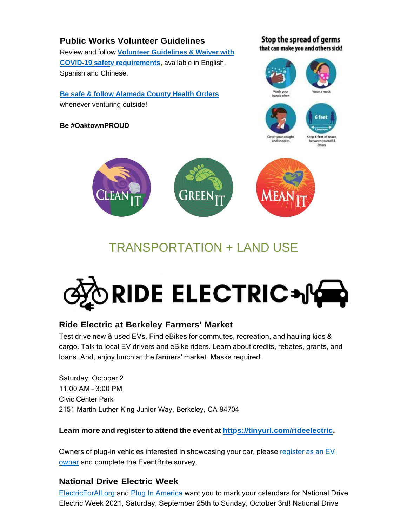## **Public Works Volunteer Guidelines** Review and follow **Volunteer [Guidelines](https://oaklandca19202.lt.acemlna.com/Prod/link-tracker?notrack=1&redirectUrl=aHR0cCUzQSUyRiUyRnd3dy5vYWtsYW5kY2EuZ292JTJGcmVzb3VyY2VzJTJGcHVibGljLXdvcmtzLXZvbHVudGVlci1ndWlkZWxpbmVz&sig=H7CwTatm6FCc97Xx2XJfoGQ6rZNZk1vtXT2e78cuhzdA&iat=1632342146&a=799335011&account=oaklandca19202%2Eactivehosted%2Ecom&email=LRRV6glqIfcVPcYsJBrMHi%2FZD%2BmsUFpJrc5fHf6IoVE%3D&s=bad97c655476f96a390a72c05a742011&i=984A977A11A16367) & Waiver with COVID-19 [safety requirements](https://oaklandca19202.lt.acemlna.com/Prod/link-tracker?notrack=1&redirectUrl=aHR0cCUzQSUyRiUyRnd3dy5vYWtsYW5kY2EuZ292JTJGcmVzb3VyY2VzJTJGcHVibGljLXdvcmtzLXZvbHVudGVlci1ndWlkZWxpbmVz&sig=H7CwTatm6FCc97Xx2XJfoGQ6rZNZk1vtXT2e78cuhzdA&iat=1632342146&a=799335011&account=oaklandca19202%2Eactivehosted%2Ecom&email=LRRV6glqIfcVPcYsJBrMHi%2FZD%2BmsUFpJrc5fHf6IoVE%3D&s=bad97c655476f96a390a72c05a742011&i=984A977A11A16367)**, available in English, Spanish and Chinese.

**[Be safe & follow Alameda County Health Orders](https://oaklandca19202.lt.acemlna.com/Prod/link-tracker?notrack=1&redirectUrl=aHR0cCUzQSUyRiUyRmNvdmlkLTE5LmFjZ292Lm9yZyUyRmluZGV4LnBhZ2U%3D&sig=9knkg4uLzTWRgT4dwQye5nUpz2RbcP9pGsYbHSVpVpi&iat=1632342146&a=799335011&account=oaklandca19202%2Eactivehosted%2Ecom&email=LRRV6glqIfcVPcYsJBrMHi%2FZD%2BmsUFpJrc5fHf6IoVE%3D&s=bad97c655476f96a390a72c05a742011&i=984A977A11A16368)** whenever venturing outside!

**Be #OaktownPROUD**

Stop the spread of germs that can make you and others sick!





# TRANSPORTATION + LAND USE

# RIDE ELECTRIC+NG

## **Ride Electric at Berkeley Farmers' Market**

Test drive new & used EVs. Find eBikes for commutes, recreation, and hauling kids & cargo. Talk to local EV drivers and eBike riders. Learn about credits, rebates, grants, and loans. And, enjoy lunch at the farmers' market. Masks required.

Saturday, October 2 11:00 AM – 3:00 PM Civic Center Park 2151 Martin Luther King Junior Way, Berkeley, CA 94704

**Learn more and register to attend the event at [https://tinyurl.com/rideelectric.](https://oaklandca19202.lt.acemlna.com/Prod/link-tracker?notrack=1&redirectUrl=aHR0cCUzQSUyRiUyRnRpbnl1cmwuY29tJTJGcmlkZWVsZWN0cmlj&sig=2KRVJGBcW5R71kZS2VyPfFVqawuimLCuvUwDqFV8zGic&iat=1632342146&a=799335011&account=oaklandca19202%2Eactivehosted%2Ecom&email=LRRV6glqIfcVPcYsJBrMHi%2FZD%2BmsUFpJrc5fHf6IoVE%3D&s=bad97c655476f96a390a72c05a742011&i=984A977A11A16337)**

Owners of plug-in vehicles interested in [showcasing](https://oaklandca19202.lt.acemlna.com/Prod/link-tracker?notrack=1&redirectUrl=aHR0cHMlM0ElMkYlMkZ3d3cuZXZlbnRicml0ZS5jb20lMkZlJTJGNHRoLWFubnVhbC1yaWRlLWVsZWN0cmljLWF0LXRoZS1mYXJtZXJzLW1hcmtldC1yZWdpc3RyYXRpb24tMTY4MTYyODMyNTU5&sig=7RNB3uic7x5EfDGx3xegkodXroHYXKWxFc6AokpH6s2L&iat=1632342146&a=799335011&account=oaklandca19202%2Eactivehosted%2Ecom&email=LRRV6glqIfcVPcYsJBrMHi%2FZD%2BmsUFpJrc5fHf6IoVE%3D&s=bad97c655476f96a390a72c05a742011&i=984A977A11A16338) your car, please register as an EV owner and complete the [EventBrite](https://oaklandca19202.lt.acemlna.com/Prod/link-tracker?notrack=1&redirectUrl=aHR0cHMlM0ElMkYlMkZ3d3cuZXZlbnRicml0ZS5jb20lMkZlJTJGNHRoLWFubnVhbC1yaWRlLWVsZWN0cmljLWF0LXRoZS1mYXJtZXJzLW1hcmtldC1yZWdpc3RyYXRpb24tMTY4MTYyODMyNTU5&sig=7RNB3uic7x5EfDGx3xegkodXroHYXKWxFc6AokpH6s2L&iat=1632342146&a=799335011&account=oaklandca19202%2Eactivehosted%2Ecom&email=LRRV6glqIfcVPcYsJBrMHi%2FZD%2BmsUFpJrc5fHf6IoVE%3D&s=bad97c655476f96a390a72c05a742011&i=984A977A11A16338) survey.

## **National Drive Electric Week**

[ElectricForAll.org a](https://oaklandca19202.lt.acemlna.com/Prod/link-tracker?notrack=1&redirectUrl=aHR0cHMlM0ElMkYlMkZ3d3cuZWxlY3RyaWNmb3JhbGwub3JnJTJGJTNGbWNfY2lkJTNEYzRiYjI2MDk2YyUyNm1jX2VpZCUzRDM2MGM2ZmI3NjU%3D&sig=HCAf9JaoMtr8iqy4kt5HJQbU1LUHhM8VyjYB3oj3oGSU&iat=1632342146&a=799335011&account=oaklandca19202%2Eactivehosted%2Ecom&email=LRRV6glqIfcVPcYsJBrMHi%2FZD%2BmsUFpJrc5fHf6IoVE%3D&s=bad97c655476f96a390a72c05a742011&i=984A977A11A16339)nd Plug [In America](https://oaklandca19202.lt.acemlna.com/Prod/link-tracker?notrack=1&redirectUrl=aHR0cHMlM0ElMkYlMkZwbHVnaW5hbWVyaWNhLm9yZyUyRiUzRm1jX2NpZCUzRGM0YmIyNjA5NmMlMjZtY19laWQlM0QzNjBjNmZiNzY1&sig=GUAhCPDjBR3sHMtje323tagErRz152vRN9XMDjpvFrKn&iat=1632342146&a=799335011&account=oaklandca19202%2Eactivehosted%2Ecom&email=LRRV6glqIfcVPcYsJBrMHi%2FZD%2BmsUFpJrc5fHf6IoVE%3D&s=bad97c655476f96a390a72c05a742011&i=984A977A11A16340) want you to mark your calendars for National Drive Electric Week 2021, Saturday, September 25th to Sunday, October 3rd! National Drive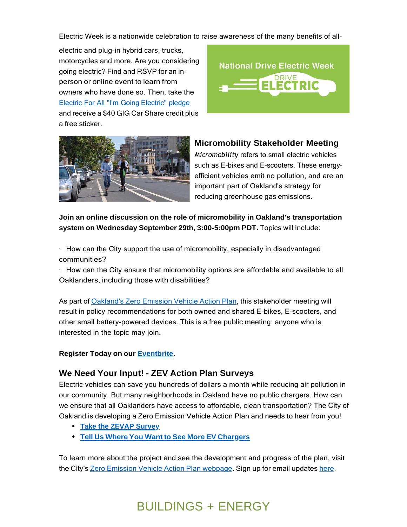Electric Week is a nationwide celebration to raise awareness of the many benefits of all-

electric and plug-in hybrid cars, trucks, motorcycles and more. Are you considering going electric? Find and RSVP for an inperson or online event to learn from owners who have done so. Then, take the Electric For All "I'm Going [Electric"](https://oaklandca19202.lt.acemlna.com/Prod/link-tracker?notrack=1&redirectUrl=aHR0cCUzQSUyRiUyRmVsZWN0cmljZm9yYWxsLm9yZyUyRnBsZWRnZQ%3D%3D&sig=C37ZaYWHQ4FRdFH6KRbCwhMVsMRXXg89v5QwpMwdA1km&iat=1632342146&a=799335011&account=oaklandca19202%2Eactivehosted%2Ecom&email=LRRV6glqIfcVPcYsJBrMHi%2FZD%2BmsUFpJrc5fHf6IoVE%3D&s=bad97c655476f96a390a72c05a742011&i=984A977A11A16341) pledge and receive a \$40 GIG Car Share credit plus a free sticker.





**Micromobility Stakeholder Meeting**

*Micromobility* refers to small electric vehicles such as E-bikes and E-scooters. These energyefficient vehicles emit no pollution, and are an important part of Oakland's strategy for reducing greenhouse gas emissions.

**Join an online discussion on the role of micromobility in Oakland's transportation system on Wednesday September 29th, 3:00-5:00pm PDT.** Topics will include:

 $\cdot$  How can the City support the use of micromobility, especially in disadvantaged communities?

· How can the City ensure that micromobility options are affordable and available to all Oaklanders, including those with disabilities?

As part of [Oakland's](https://oaklandca19202.lt.acemlna.com/Prod/link-tracker?notrack=1&redirectUrl=aHR0cHMlM0ElMkYlMkZ3d3cub2FrbGFuZGNhLmdvdiUyRnByb2plY3RzJTJGemVyby1lbWlzc2lvbi12ZWhpY2xlLWFjdGlvbi1wbGFu&sig=2PCX6hKuNPLRJPuT8dxgGkRXnEgdUTKb5CmEZXf9FAja&iat=1632342146&a=799335011&account=oaklandca19202%2Eactivehosted%2Ecom&email=LRRV6glqIfcVPcYsJBrMHi%2FZD%2BmsUFpJrc5fHf6IoVE%3D&s=bad97c655476f96a390a72c05a742011&i=984A977A11A16318) Zero Emission Vehicle Action Plan, this stakeholder meeting will result in policy recommendations for both owned and shared E-bikes, E-scooters, and other small battery-powered devices. This is a free public meeting; anyone who is interested in the topic may join.

**Register Today on our [Eventbrite.](https://oaklandca19202.lt.acemlna.com/Prod/link-tracker?notrack=1&redirectUrl=aHR0cHMlM0ElMkYlMkZ3d3cuZXZlbnRicml0ZS5jb20lMkZlJTJGb2FrbGFuZC1taWNyb21vYmlsaXR5LXN0YWtlaG9sZGVyLW1lZXRpbmctdGlja2V0cy0xNzAxODI0NDcyODE%3D&sig=4yWwzMVYfvv1AyWZMYnhtfy1ABVgYRY1C2u4qR87XLP6&iat=1632342146&a=799335011&account=oaklandca19202%2Eactivehosted%2Ecom&email=LRRV6glqIfcVPcYsJBrMHi%2FZD%2BmsUFpJrc5fHf6IoVE%3D&s=bad97c655476f96a390a72c05a742011&i=984A977A11A16423)**

## **We Need Your Input! - ZEV Action Plan Surveys**

Electric vehicles can save you hundreds of dollars a month while reducing air pollution in our community. But many neighborhoods in Oakland have no public chargers. How can we ensure that all Oaklanders have access to affordable, clean transportation? The City of Oakland is developing a Zero Emission Vehicle Action Plan and needs to hear from you!

- **Take the ZEVAP [Survey](https://oaklandca19202.lt.acemlna.com/Prod/link-tracker?notrack=1&redirectUrl=aHR0cHMlM0ElMkYlMkZvYWtsYW5kY2EuZm9ybXN0YWNrLmNvbSUyRmZvcm1zJTJGemVyb19lbWlzc2lvbl92ZWhpY2xlX2FjdGlvbl9wbGFuX3N1cnZleV9kcmFmdA%3D%3D&sig=2mpCE35VuN55i3DeGBwG6W2iV5AtPFJjLf7pmRPNbYj2&iat=1632342146&a=799335011&account=oaklandca19202%2Eactivehosted%2Ecom&email=LRRV6glqIfcVPcYsJBrMHi%2FZD%2BmsUFpJrc5fHf6IoVE%3D&s=bad97c655476f96a390a72c05a742011&i=984A977A11A16316)**
- **Tell Us Where You Want to See More EV [Chargers](https://oaklandca19202.lt.acemlna.com/Prod/link-tracker?notrack=1&redirectUrl=aHR0cHMlM0ElMkYlMkZ3d3cub2FrbGFuZGNhLmdvdiUyRnNlcnZpY2VzJTJGemVyby1lbWlzc2lvbi12ZWhpY2xlLWFjdGlvbi1wbGFuLWludGVyYWN0aXZlLW1hcA%3D%3D&sig=HXqRhGs8xWuc7giSfJ6J51mAh6CEuMzo96CR3xGpNcrj&iat=1632342146&a=799335011&account=oaklandca19202%2Eactivehosted%2Ecom&email=LRRV6glqIfcVPcYsJBrMHi%2FZD%2BmsUFpJrc5fHf6IoVE%3D&s=bad97c655476f96a390a72c05a742011&i=984A977A11A16317)**

To learn more about the project and see the development and progress of the plan, visit the City's Zero Emission Vehicle Action Plan [webpage.](https://oaklandca19202.lt.acemlna.com/Prod/link-tracker?notrack=1&redirectUrl=aHR0cHMlM0ElMkYlMkZ3d3cub2FrbGFuZGNhLmdvdiUyRnByb2plY3RzJTJGemVyby1lbWlzc2lvbi12ZWhpY2xlLWFjdGlvbi1wbGFu&sig=2PCX6hKuNPLRJPuT8dxgGkRXnEgdUTKb5CmEZXf9FAja&iat=1632342146&a=799335011&account=oaklandca19202%2Eactivehosted%2Ecom&email=LRRV6glqIfcVPcYsJBrMHi%2FZD%2BmsUFpJrc5fHf6IoVE%3D&s=bad97c655476f96a390a72c05a742011&i=984A977A11A16318) Sign up for email updates [here.](https://oaklandca19202.lt.acemlna.com/Prod/link-tracker?notrack=1&redirectUrl=aHR0cHMlM0ElMkYlMkZ1cmxkZWZlbnNlLnByb29mcG9pbnQuY29tJTJGdjIlMkZ1cmwlM0Z1JTNEaHR0cHMtM0FfX29ha2xhbmRjYS5mb3Jtc3RhY2suY29tX2Zvcm1zX3pldi01RmFjdGlvbi01RnBsYW4tNUZlbWFpbC01Rmxpc3QlMjZkJTNERHdNRmFRJTI2YyUzRDZaYm9LZEp6UjhuWk9xd0JqaFBuQ3clMjZyJTNEZHlDenVMRHhBczRKSTFWcVVYZk9xOTN4Ujl1bkU2amQ5UHB3aUoxYU9wOCUyNm0lM0Rpa1FEMHRKUjRtYXlWcTNwM0RIZ1FsYmpWQ2NHOUh2d0pfTlhha0ctQWhrJTI2cyUzRFhxa201ZnRpTUliZy1aVGl2U2p1azlxaVpmVTFEOXR3ZDlUX2d4TEl4cTglMjZlJTNE&sig=AVKh9c3CLmkLth3TtFwYNDf5T94i3mocHoeXxqzLGtsu&iat=1632342146&a=799335011&account=oaklandca19202%2Eactivehosted%2Ecom&email=LRRV6glqIfcVPcYsJBrMHi%2FZD%2BmsUFpJrc5fHf6IoVE%3D&s=bad97c655476f96a390a72c05a742011&i=984A977A11A16319)

# BUILDINGS + ENERGY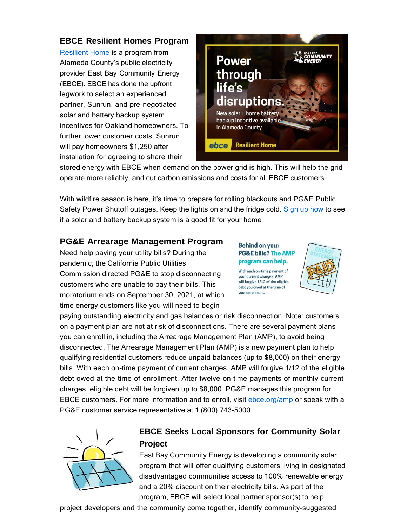## **EBCE Resilient Homes Program**

[Resilient Home](https://oaklandca19202.lt.acemlna.com/Prod/link-tracker?notrack=1&redirectUrl=aHR0cHMlM0ElMkYlMkZlYmNlLm9yZyUyRnJlc2lsaWVudC1ob21lJTJGJTNGY2FtcGFpZ25JRCUzRE5ld3NsZXR0ZXI%3D&sig=DuWDHjBHudFTrzm4b5qUSu9SMjAjZ7hu4fPAUtKxsvTH&iat=1632342146&a=799335011&account=oaklandca19202%2Eactivehosted%2Ecom&email=LRRV6glqIfcVPcYsJBrMHi%2FZD%2BmsUFpJrc5fHf6IoVE%3D&s=bad97c655476f96a390a72c05a742011&i=984A977A11A16342) is a program from Alameda County's public electricity provider East Bay Community Energy (EBCE). EBCE has done the upfront legwork to select an experienced partner, Sunrun, and pre-negotiated solar and battery backup system incentives for Oakland homeowners. To further lower customer costs, Sunrun will pay homeowners \$1,250 after installation for agreeing to share their



stored energy with EBCE when demand on the power grid is high. This will help the grid operate more reliably, and cut carbon emissions and costs for all EBCE customers.

With wildfire season is here, it's time to prepare for rolling blackouts and PG&E Public Safety Power Shutoff outages. Keep the lights on and the fridge cold. [Sign](https://oaklandca19202.lt.acemlna.com/Prod/link-tracker?notrack=1&redirectUrl=aHR0cHMlM0ElMkYlMkZlYmNlLm9yZyUyRnJlc2lsaWVudC1ob21lJTJGJTNGY2FtcGFpZ25JRCUzRE5ld3NsZXR0ZXI%3D&sig=DuWDHjBHudFTrzm4b5qUSu9SMjAjZ7hu4fPAUtKxsvTH&iat=1632342146&a=799335011&account=oaklandca19202%2Eactivehosted%2Ecom&email=LRRV6glqIfcVPcYsJBrMHi%2FZD%2BmsUFpJrc5fHf6IoVE%3D&s=bad97c655476f96a390a72c05a742011&i=984A977A11A16342) up now to see if a solar and battery backup system is a good fit for your home

## **PG&E Arrearage Management Program**

Need help paying your utility bills? During the pandemic, the California Public Utilities Commission directed PG&E to stop disconnecting customers who are unable to pay their bills. This moratorium ends on September 30, 2021, at which time energy customers like you will need to begin

#### **Behind on your PG&E bills? The AMP** program can help.

With each on-time payment of your current charges, AMP will forgive 1/12 of the eligible debt you owed at the time of your enrollment.



paying outstanding electricity and gas balances or risk disconnection. Note: customers on a payment plan are not at risk of disconnections. There are several payment plans you can enroll in, including the Arrearage Management Plan (AMP), to avoid being disconnected. The Arrearage Management Plan (AMP) is a new payment plan to help qualifying residential customers reduce unpaid balances (up to \$8,000) on their energy bills. With each on-time payment of current charges, AMP will forgive 1/12 of the eligible debt owed at the time of enrollment. After twelve on-time payments of monthly current charges, eligible debt will be forgiven up to \$8,000. PG&E manages this program for EBCE customers. For more information and to enroll, visit [ebce.org/amp](https://oaklandca19202.lt.acemlna.com/Prod/link-tracker?notrack=1&redirectUrl=aHR0cCUzQSUyRiUyRmViY2Uub3JnJTJGYW1w&sig=7o4AS2zjeborgu8j8UCknXTqUi4nzwmD7AMPvw1Kczbq&iat=1632342146&a=799335011&account=oaklandca19202%2Eactivehosted%2Ecom&email=LRRV6glqIfcVPcYsJBrMHi%2FZD%2BmsUFpJrc5fHf6IoVE%3D&s=bad97c655476f96a390a72c05a742011&i=984A977A11A16343) or speak with a PG&E customer service representative at 1 (800) 743-5000.



## **EBCE Seeks Local Sponsors for Community Solar Project**

East Bay Community Energy is developing a community solar program that will offer qualifying customers living in designated disadvantaged communities access to 100% renewable energy and a 20% discount on their electricity bills. As part of the program, EBCE will select local partner sponsor(s) to help

project developers and the community come together, identify community-suggested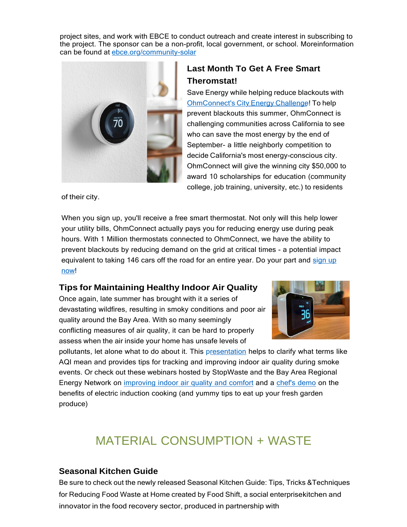project sites, and work with EBCE to conduct outreach and create interest in subscribing to the project. The sponsor can be a non-profit, local government, or school. Moreinformation can be found at [ebce.org/community-solar](https://oaklandca19202.lt.acemlna.com/Prod/link-tracker?notrack=1&redirectUrl=aHR0cHMlM0ElMkYlMkZ1cmxkZWZlbnNlLnByb29mcG9pbnQuY29tJTJGdjIlMkZ1cmwlM0Z1JTNEaHR0cC0zQV9fZWJjZS5vcmdfY29tbXVuaXR5LTJEc29sYXIlMjZkJTNERHdNRmFRJTI2YyUzRDZaYm9LZEp6UjhuWk9xd0JqaFBuQ3clMjZyJTNEOVpiS3hnMHZoUWFZbGRxN3JQYS1oNmkzZlBfemhhYk5xWDJJVzNUX2NwQSUyNm0lM0RManJobXh4MVc4LUROclJWT3hPak1XVHZCcWdZSXA4ZWRvblN2ZVNTbmdRJTI2cyUzRHpKTDNFRHFGRGpJSm1GVnFvY3djc0NzZnlualRfTlFXOFR4c1p0UHpGa0klMjZlJTNE&sig=zKnNSb57YFZAaoMa3ySWgL2aNE9jnU8Nbif8KyF3FEn&iat=1632342146&a=799335011&account=oaklandca19202%2Eactivehosted%2Ecom&email=LRRV6glqIfcVPcYsJBrMHi%2FZD%2BmsUFpJrc5fHf6IoVE%3D&s=bad97c655476f96a390a72c05a742011&i=984A977A11A16320)



## **Last Month To Get A Free Smart Theromstat!**

Save Energy while helping reduce blackouts with [OhmConnect's](https://oaklandca19202.lt.acemlna.com/Prod/link-tracker?notrack=1&redirectUrl=aHR0cHMlM0ElMkYlMkZ3d3cub2htY29ubmVjdC5jb20lMkY%3D&sig=BiYo9jmJjeY14kCZgGrYydU7CSL4HWoX8Gy6pMzdoqAL&iat=1632342146&a=799335011&account=oaklandca19202%2Eactivehosted%2Ecom&email=LRRV6glqIfcVPcYsJBrMHi%2FZD%2BmsUFpJrc5fHf6IoVE%3D&s=bad97c655476f96a390a72c05a742011&i=984A977A11A16344) City Energy Challenge! To help prevent blackouts this summer, OhmConnect is challenging communities across California to see who can save the most energy by the end of September- a little neighborly competition to decide California's most energy-conscious city. OhmConnect will give the winning city \$50,000 to award 10 scholarships for education (community college, job training, university, etc.) to residents

of their city.

When you sign up, you'll receive a free smart thermostat. Not only will this help lower your utility bills, OhmConnect actually pays you for reducing energy use during peak hours. With 1 Million thermostats connected to OhmConnect, we have the ability to prevent blackouts by reducing demand on the grid at critical times - a potential impact [equivalent](https://oaklandca19202.lt.acemlna.com/Prod/link-tracker?notrack=1&redirectUrl=aHR0cHMlM0ElMkYlMkZ3d3cub2htY29ubmVjdC5jb20lMkY%3D&sig=BiYo9jmJjeY14kCZgGrYydU7CSL4HWoX8Gy6pMzdoqAL&iat=1632342146&a=799335011&account=oaklandca19202%2Eactivehosted%2Ecom&email=LRRV6glqIfcVPcYsJBrMHi%2FZD%2BmsUFpJrc5fHf6IoVE%3D&s=bad97c655476f96a390a72c05a742011&i=984A977A11A16344) to taking 146 cars off the road for an entire year. Do your part and sign up [now!](https://oaklandca19202.lt.acemlna.com/Prod/link-tracker?notrack=1&redirectUrl=aHR0cHMlM0ElMkYlMkZ3d3cub2htY29ubmVjdC5jb20lMkY%3D&sig=BiYo9jmJjeY14kCZgGrYydU7CSL4HWoX8Gy6pMzdoqAL&iat=1632342146&a=799335011&account=oaklandca19202%2Eactivehosted%2Ecom&email=LRRV6glqIfcVPcYsJBrMHi%2FZD%2BmsUFpJrc5fHf6IoVE%3D&s=bad97c655476f96a390a72c05a742011&i=984A977A11A16344)

## **Tips for Maintaining Healthy Indoor Air Quality**

Once again, late summer has brought with it a series of devastating wildfires, resulting in smoky conditions and poor air quality around the Bay Area. With so many seemingly conflicting measures of air quality, it can be hard to properly assess when the air inside your home has unsafe levels of



pollutants, let alone what to do about it. This [presentation](https://oaklandca19202.lt.acemlna.com/Prod/link-tracker?notrack=1&redirectUrl=aHR0cHMlM0ElMkYlMkZ3d3cueW91dHViZS5jb20lMkZ3YXRjaCUzRnYlM0RhQ0szdWg3VmVSUQ%3D%3D&sig=7JcZnEGunmJ5o3xQnZ32Y74hafRqyLm2cYjD3QNQorA4&iat=1632342146&a=799335011&account=oaklandca19202%2Eactivehosted%2Ecom&email=LRRV6glqIfcVPcYsJBrMHi%2FZD%2BmsUFpJrc5fHf6IoVE%3D&s=bad97c655476f96a390a72c05a742011&i=984A977A11A16371) helps to clarify what terms like AQI mean and provides tips for tracking and improving indoor air quality during smoke events. Or check out these webinars hosted by StopWaste and the Bay Area Regional Energy Network on [improving](https://oaklandca19202.lt.acemlna.com/Prod/link-tracker?notrack=1&redirectUrl=aHR0cHMlM0ElMkYlMkZ3d3cueW91dHViZS5jb20lMkZ3YXRjaCUzRnYlM0QxOHZHZ2VSMURZNA%3D%3D&sig=BL2rrj6qPAiMd8tvBjzdo9QWg51RUa9wMGb5cGtfFgLh&iat=1632342146&a=799335011&account=oaklandca19202%2Eactivehosted%2Ecom&email=LRRV6glqIfcVPcYsJBrMHi%2FZD%2BmsUFpJrc5fHf6IoVE%3D&s=bad97c655476f96a390a72c05a742011&i=984A977A11A16372) indoor air quality and comfort and a [chef's](https://oaklandca19202.lt.acemlna.com/Prod/link-tracker?notrack=1&redirectUrl=aHR0cHMlM0ElMkYlMkZ3d3cueW91dHViZS5jb20lMkZ3YXRjaCUzRnYlM0RzcVBxenUweVdXOA%3D%3D&sig=F4xLjN8ZipRgv5b1ZV9p5R6aQTjwQ5RishRmVX2nzhLr&iat=1632342146&a=799335011&account=oaklandca19202%2Eactivehosted%2Ecom&email=LRRV6glqIfcVPcYsJBrMHi%2FZD%2BmsUFpJrc5fHf6IoVE%3D&s=bad97c655476f96a390a72c05a742011&i=984A977A11A16373) demo on the benefits of electric induction cooking (and yummy tips to eat up your fresh garden produce)

# MATERIAL CONSUMPTION + WASTE

## **Seasonal Kitchen Guide**

Be sure to check out the newly released Seasonal Kitchen Guide: Tips, Tricks &Techniques for Reducing Food Waste at Home created by Food Shift, a social enterprisekitchen and innovator in the food recovery sector, produced in partnership with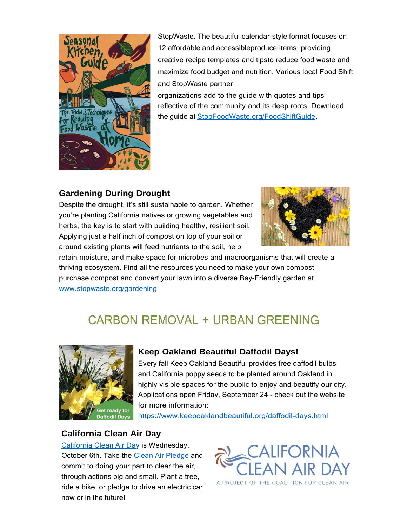

StopWaste. The beautiful calendar-style format focuses on 12 affordable and accessibleproduce items, providing creative recipe templates and tipsto reduce food waste and maximize food budget and nutrition. Various local Food Shift and StopWaste partner

organizations add to the guide with quotes and tips reflective of the community and its deep roots. Download the guide at [StopFoodWaste.org/FoodShiftGuide.](https://oaklandca19202.lt.acemlna.com/Prod/link-tracker?notrack=1&redirectUrl=aHR0cCUzQSUyRiUyRlN0b3BGb29kV2FzdGUub3JnJTJGRm9vZFNoaWZ0R3VpZGU%3D&sig=4R5cuoMrcgiFHwQExdWemhqtzKhar5uoZi5yk13zmF1j&iat=1632342146&a=799335011&account=oaklandca19202%2Eactivehosted%2Ecom&email=LRRV6glqIfcVPcYsJBrMHi%2FZD%2BmsUFpJrc5fHf6IoVE%3D&s=bad97c655476f96a390a72c05a742011&i=984A977A11A16369)

## **Gardening During Drought**

Despite the drought, it's still sustainable to garden. Whether you're planting California natives or growing vegetables and herbs, the key is to start with building healthy, resilient soil. Applying just a half inch of compost on top of your soil or around existing plants will feed nutrients to the soil, help



retain moisture, and make space for microbes and macroorganisms that will create a thriving ecosystem. Find all the resources you need to make your own compost, purchase compost and convert your lawn into a diverse Bay-Friendly garden at [www.stopwaste.org/gardening](https://oaklandca19202.lt.acemlna.com/Prod/link-tracker?notrack=1&redirectUrl=aHR0cCUzQSUyRiUyRnd3dy5zdG9wd2FzdGUub3JnJTJGZ2FyZGVuaW5n&sig=8mx8tEd6BekKdnVA6jXVnSYH3V3br2fh4KSThXu16q13&iat=1632342146&a=799335011&account=oaklandca19202%2Eactivehosted%2Ecom&email=LRRV6glqIfcVPcYsJBrMHi%2FZD%2BmsUFpJrc5fHf6IoVE%3D&s=bad97c655476f96a390a72c05a742011&i=984A977A11A16370)

# **CARBON REMOVAL + URBAN GREENING**



## **Keep Oakland Beautiful Daffodil Days!**

Every fall Keep Oakland Beautiful provides free daffodil bulbs and California poppy seeds to be planted around Oakland in highly visible spaces for the public to enjoy and beautify our city. Applications open Friday, September 24 - check out the website for more information:

[https://www.keepoaklandbeautiful.org/daffodil-days.html](https://oaklandca19202.lt.acemlna.com/Prod/link-tracker?notrack=1&redirectUrl=aHR0cHMlM0ElMkYlMkZ1cmxkZWZlbnNlLnByb29mcG9pbnQuY29tJTJGdjIlMkZ1cmwlM0Z1JTNEaHR0cHMtM0FfX3d3dy5rZWVwb2FrbGFuZGJlYXV0aWZ1bC5vcmdfZGFmZm9kaWwtMkRkYXlzLmh0bWwlMjZkJTNERHdNRmFRJTI2YyUzRDZaYm9LZEp6UjhuWk9xd0JqaFBuQ3clMjZyJTNEOVpiS3hnMHZoUWFZbGRxN3JQYS1oNmkzZlBfemhhYk5xWDJJVzNUX2NwQSUyNm0lM0RmMDdGY09Ha3ZyRk5uVkhRdk5OZjhjMHFZMkY3Z1FUYnI4M0lrTUlUZnlZJTI2cyUzRHU0b2Q5UURYSDNwZFlRM0ZQUTI2OWs3bHdlZVBURFl2S0xMZFdtSDFGd2MlMjZlJTNE&sig=22HxbpcMf3CtuAZJVrFPhKcZ9orMS7byUUR8oMJsrgYS&iat=1632342146&a=799335011&account=oaklandca19202%2Eactivehosted%2Ecom&email=LRRV6glqIfcVPcYsJBrMHi%2FZD%2BmsUFpJrc5fHf6IoVE%3D&s=bad97c655476f96a390a72c05a742011&i=984A977A11A16345)

## **California Clean Air Day**

[California Clean Air Day i](https://oaklandca19202.lt.acemlna.com/Prod/link-tracker?notrack=1&redirectUrl=aHR0cHMlM0ElMkYlMkZ3d3cuY2xlYW5haXJkYXkub3JnJTJG&sig=9EAvVigKmzzcmj69inAURfjCaazrQQnEvL36RSfvSuUw&iat=1632342146&a=799335011&account=oaklandca19202%2Eactivehosted%2Ecom&email=LRRV6glqIfcVPcYsJBrMHi%2FZD%2BmsUFpJrc5fHf6IoVE%3D&s=bad97c655476f96a390a72c05a742011&i=984A977A11A16346)s Wednesday, October 6th. Take the [Clean Air Pledge](https://oaklandca19202.lt.acemlna.com/Prod/link-tracker?notrack=1&redirectUrl=aHR0cHMlM0ElMkYlMkZ3d3cuY2xlYW5haXJkYXkub3JnJTJGcGxlZGdlJTJGaW5kaXZpZHVhbCUyRg%3D%3D&sig=BquLfh8o14Cvzgjtzxoz7c3sRkGFTgbmxtFYbbbYRfmK&iat=1632342146&a=799335011&account=oaklandca19202%2Eactivehosted%2Ecom&email=LRRV6glqIfcVPcYsJBrMHi%2FZD%2BmsUFpJrc5fHf6IoVE%3D&s=bad97c655476f96a390a72c05a742011&i=984A977A11A16347) and commit to doing your part to clear the air, through actions big and small. Plant a tree, ride a bike, or pledge to drive an electric car now or in the future!